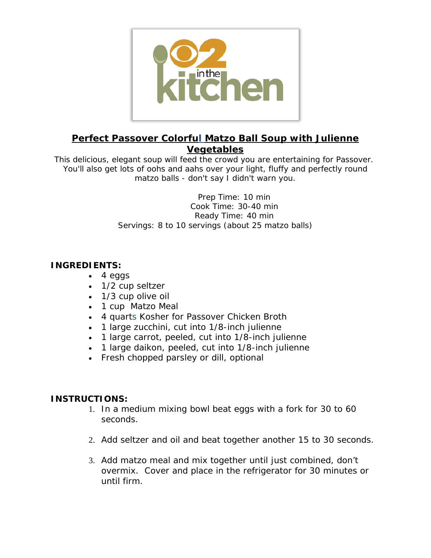

## **Perfect Passover Colorful Matzo Ball Soup with Julienne Vegetables**

This delicious, elegant soup will feed the crowd you are entertaining for Passover. You'll also get lots of oohs and aahs over your light, fluffy and perfectly round matzo balls - don't say I didn't warn you.

> Prep Time: 10 min Cook Time: 30-40 min Ready Time: 40 min Servings: 8 to 10 servings (about 25 matzo balls)

## **INGREDIENTS:**

- $\bullet$  4 eggs
- 1/2 cup seltzer
- 1/3 cup olive oil
- 1 cup Matzo Meal
- 4 quarts Kosher for Passover Chicken Broth
- 1 large zucchini, cut into 1/8-inch julienne
- 1 large carrot, peeled, cut into 1/8-inch julienne
- 1 large daikon, peeled, cut into 1/8-inch julienne
- Fresh chopped parsley or dill, optional

## **INSTRUCTIONS:**

- 1. In a medium mixing bowl beat eggs with a fork for 30 to 60 seconds.
- 2. Add seltzer and oil and beat together another 15 to 30 seconds.
- 3. Add matzo meal and mix together until just combined, don't overmix. Cover and place in the refrigerator for 30 minutes or until firm.